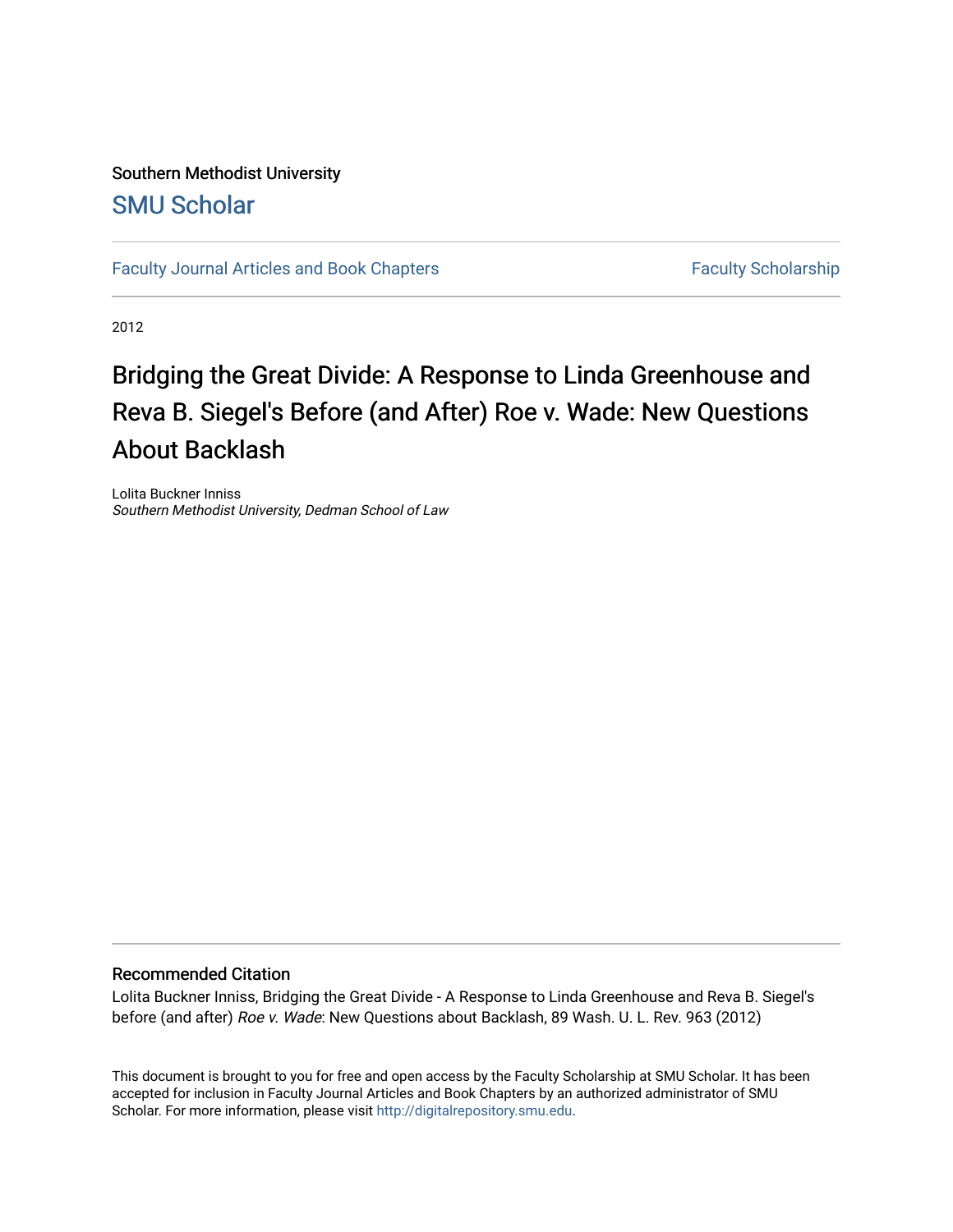# Southern Methodist University [SMU Scholar](https://scholar.smu.edu/)

[Faculty Journal Articles and Book Chapters](https://scholar.smu.edu/law_faculty) Faculty Scholarship

2012

# Bridging the Great Divide: A Response to Linda Greenhouse and Reva B. Siegel's Before (and After) Roe v. Wade: New Questions About Backlash

Lolita Buckner Inniss Southern Methodist University, Dedman School of Law

# Recommended Citation

Lolita Buckner Inniss, Bridging the Great Divide - A Response to Linda Greenhouse and Reva B. Siegel's before (and after) Roe v. Wade: New Questions about Backlash, 89 Wash. U. L. Rev. 963 (2012)

This document is brought to you for free and open access by the Faculty Scholarship at SMU Scholar. It has been accepted for inclusion in Faculty Journal Articles and Book Chapters by an authorized administrator of SMU Scholar. For more information, please visit [http://digitalrepository.smu.edu.](http://digitalrepository.smu.edu/)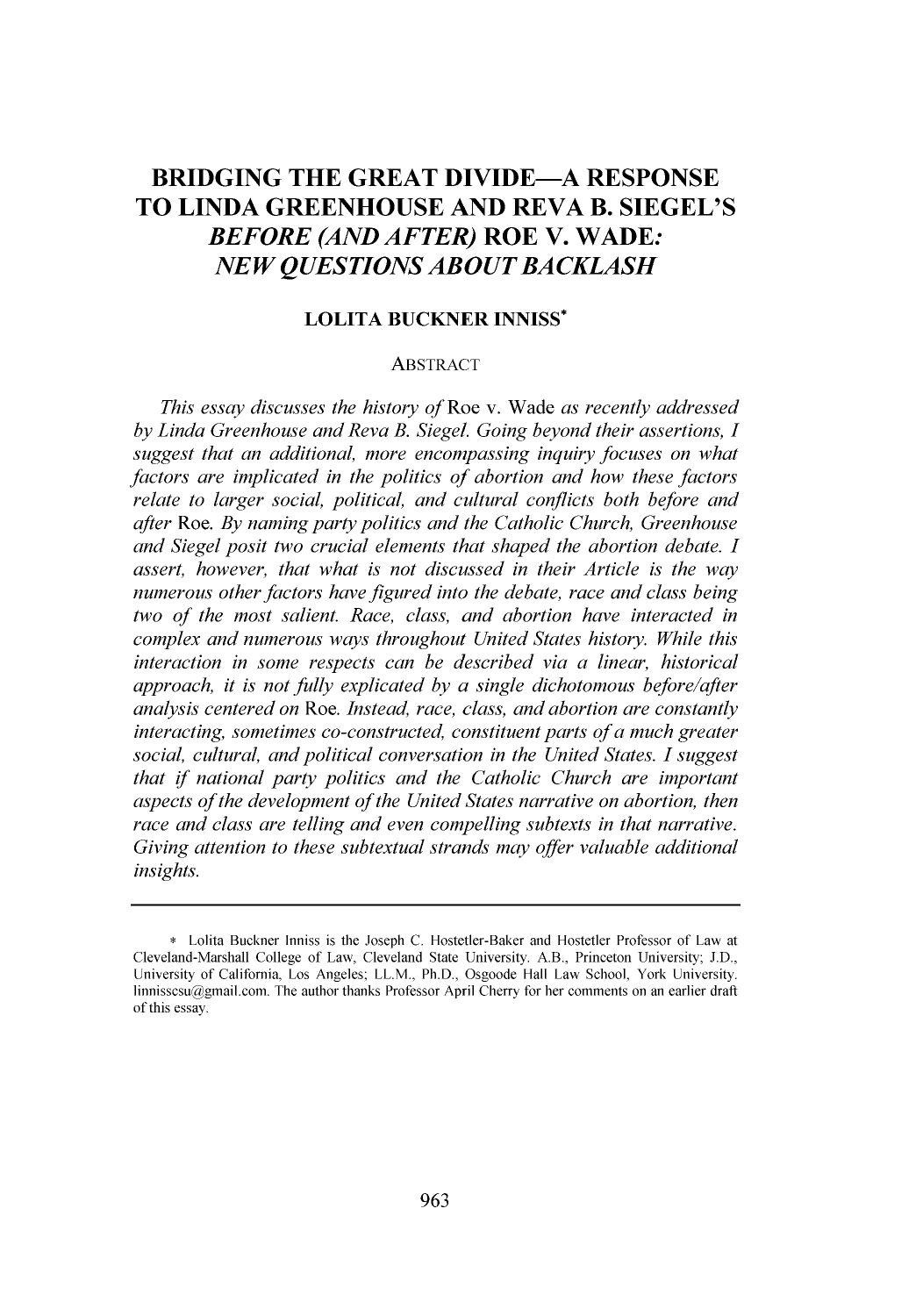# **BRIDGING THE GREAT DIVIDE-A RESPONSE TO LINDA GREENHOUSE AND REVA B. SIEGEL'S** *BEFORE (AND AFTER)* **ROE V. WADE:** *NEW QUESTIONS ABOUT BACKLASH*

# **LOLITA BUCKNER INNISS\***

#### ABSTRACT

*This essay discusses the history of* Roe v. Wade *as recently addressed by Linda Greenhouse and Reva B. Siegel. Going beyond their assertions, I suggest that an additional, more encompassing inquiry focuses on what factors are implicated in the politics of abortion and how these factors relate to larger social, political, and cultural conflicts both before and after Roe. By naming party politics and the Catholic Church, Greenhouse and Siegel posit two crucial elements that shaped the abortion debate. I assert, however, that what is not discussed in their Article is the way numerous other factors have figured into the debate, race and class being two of the most salient. Race, class, and abortion have interacted in complex and numerous ways throughout United States history. While this interaction in some respects can be described via a linear, historical approach, it is not fully explicated by a single dichotomous before/after analysis centered on Roe. Instead, race, class, and abortion are constantly interacting, sometimes co-constructed, constituent parts of a much greater social, cultural, and political conversation in the United States. I suggest that if national party politics and the Catholic Church are important aspects of the development of the United States narrative on abortion, then race and class are telling and even compelling subtexts in that narrative. Giving attention to these subtextual strands may offer valuable additional insights.*

**<sup>\*</sup>** Lolita Buckner Inniss is the Joseph **C.** Hostetler-Baker and Hostetler Professor of Law at Cleveland-Marshall College of Law, Cleveland State University. A.B., Princeton University; **J.D.,** University of California, Los Angeles; LL.M., Ph.D., Osgoode Hall Law School, York University. linnisscsu@gmail.com. The author thanks Professor April Cherry for her comments on an earlier draft of this essay.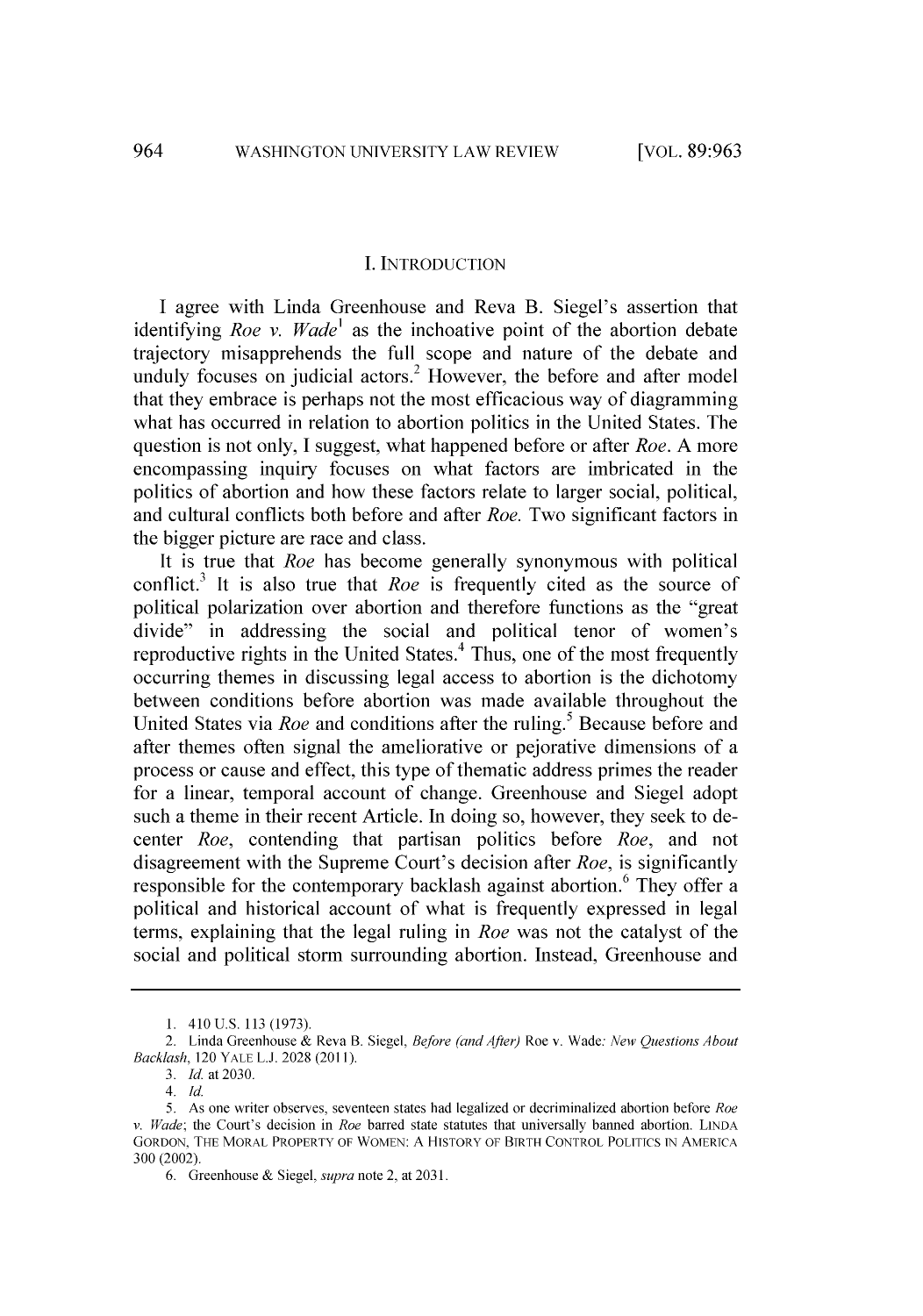#### **I. INTRODUCTION**

**I** agree with Linda Greenhouse and Reva B. Siegel's assertion that identifying *Roe v. Wade'* as the inchoative point of the abortion debate trajectory misapprehends the full scope and nature of the debate and unduly focuses on judicial actors. $<sup>2</sup>$  However, the before and after model</sup> that they embrace is perhaps not the most efficacious way of diagramming what has occurred in relation to abortion politics in the United States. The question is not only, **I** suggest, what happened before or after *Roe.* **A** more encompassing inquiry focuses on what factors are imbricated in the politics of abortion and how these factors relate to larger social, political, and cultural conflicts both before and after *Roe.* Two significant factors in the bigger picture are race and class.

It is true that *Roe* has become generally synonymous with political conflict.3 It is also true that *Roe* is frequently cited as the source of political polarization over abortion and therefore functions as the "great divide" in addressing the social and political tenor of women's reproductive rights in the United States.<sup>4</sup> Thus, one of the most frequently occurring themes in discussing legal access to abortion is the dichotomy between conditions before abortion was made available throughout the United States via *Roe* and conditions after the ruling.<sup>5</sup> Because before and after themes often signal the ameliorative or pejorative dimensions of a process or cause and effect, this type of thematic address primes the reader for a linear, temporal account of change. Greenhouse and Siegel adopt such a theme in their recent Article. In doing so, however, they seek to decenter *Roe,* contending that partisan politics before *Roe,* and not disagreement with the Supreme Court's decision after *Roe,* is significantly responsible for the contemporary backlash against abortion.<sup>6</sup> They offer a political and historical account of what is frequently expressed in legal terms, explaining that the legal ruling in *Roe* was not the catalyst of the social and political storm surrounding abortion. Instead, Greenhouse and

**<sup>1. 410</sup> U.S. 113 (1973).**

<sup>2.</sup> Linda Greenhouse **&** Reva B. Siegel, *Before (and After)* Roe v. Wade: *New Questions About* Backlash, 120 YALE **L.J.** 2028 **(2011).**

**<sup>3.</sup>** *Id. at* 2030.

*<sup>4.</sup> Id.*

**<sup>5.</sup>** As one writer observes, seventeen states had legalized or decriminalized abortion before *Roe v. Wade;* the Court's decision in *Roe* barred **state statutes** that universally banned abortion. **LINDA** GORDON, THE MORAL PROPERTY OF WOMEN: **A** HISTORY OF BIRTH CONTROL POLITICS IN AMERICA **300 (2002).**

**<sup>6.</sup>** Greenhouse **&** *Siegel, supra* note 2, at **2031.**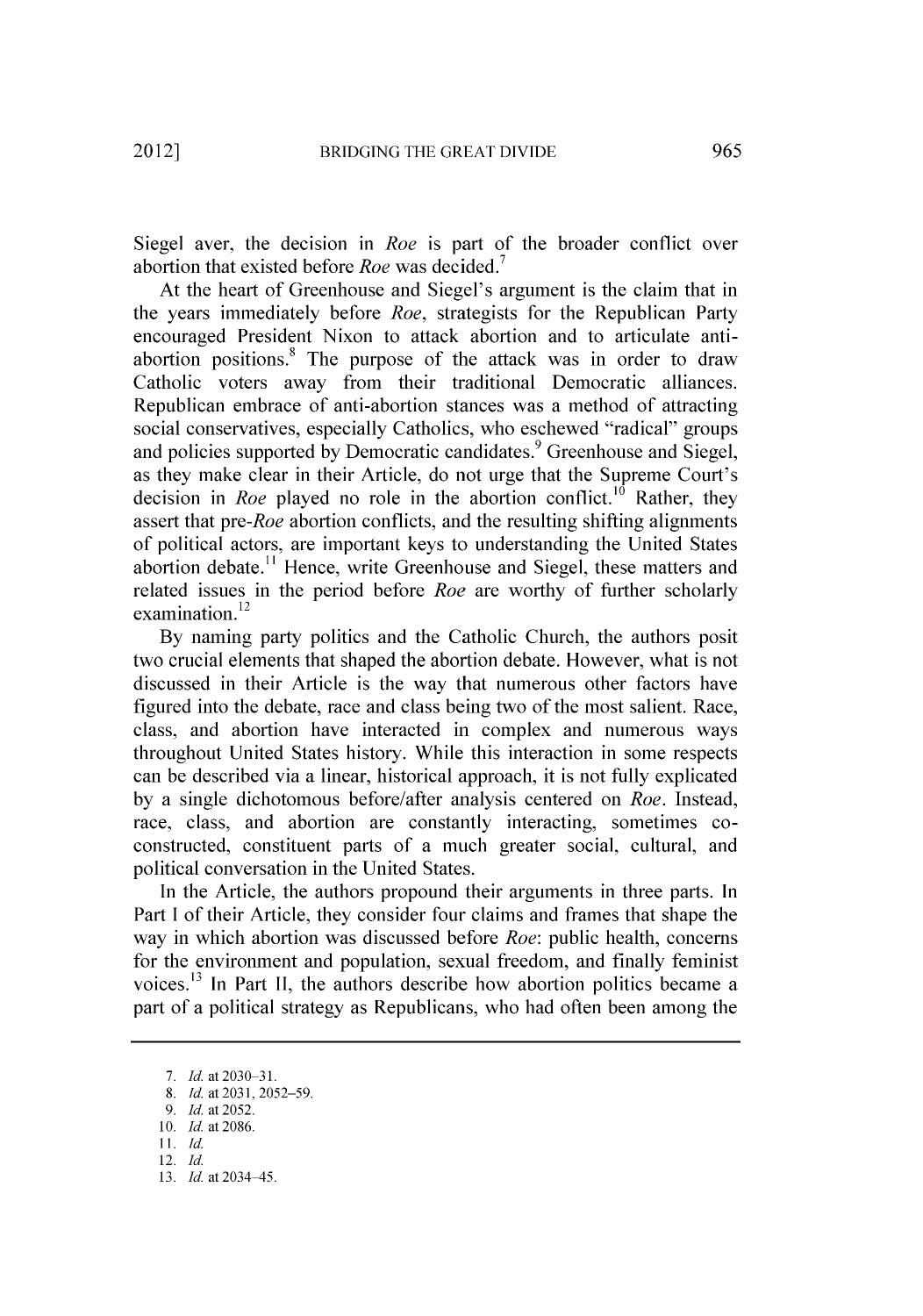Siegel aver, the decision in *Roe* is part of the broader conflict over abortion that existed before *Roe* was decided.

At the heart of Greenhouse and Siegel's argument is the claim that in the years immediately before *Roe,* strategists for the Republican Party encouraged President Nixon to attack abortion and to articulate antiabortion positions.<sup>8</sup> The purpose of the attack was in order to draw Catholic voters away from their traditional Democratic alliances. Republican embrace of anti-abortion stances was a method of attracting social conservatives, especially Catholics, who eschewed "radical" groups and policies supported by Democratic candidates.<sup>9</sup> Greenhouse and Siegel, as they make clear in their Article, do not urge that the Supreme Court's decision in *Roe* played no role in the abortion conflict.<sup>10</sup> Rather, they assert that *pre-Roe* abortion conflicts, and the resulting shifting alignments of political actors, are important keys to understanding the United States abortion debate.<sup>11</sup> Hence, write Greenhouse and Siegel, these matters and related issues in the period before *Roe* are worthy of further scholarly examination.<sup>12</sup>

**By** naming party politics and the Catholic Church, the authors posit two crucial elements that shaped the abortion debate. However, what is not discussed in their Article is the way that numerous other factors have figured into the debate, race and class being two of the most salient. Race, class, and abortion have interacted in complex and numerous ways throughout United States history. While this interaction in some respects can be described via a linear, historical approach, it is not fully explicated **by** a single dichotomous before/after analysis centered on *Roe.* Instead, race, class, and abortion are constantly interacting, sometimes coconstructed, constituent parts of a much greater social, cultural, and political conversation in the United States.

In the Article, the authors propound their arguments in three parts. In Part I of their Article, they consider four claims and frames that shape the way in which abortion was discussed before *Roe:* public health, concerns for the environment and population, sexual freedom, and finally feminist voices.13 In Part **II,** the authors describe how abortion politics became a part of a political strategy as Republicans, who had often been among the

**<sup>7.</sup>** *Id. at 2030-31.*

**<sup>8.</sup>** *Id. at 2031,2052-59.*

*<sup>9.</sup> Id. at* **2052.**

**<sup>10.</sup>** *Id.* at **2086.**

**<sup>11.</sup>** *Id.* 12. *Id.*

**<sup>13.</sup>** *Id. at* 2034-45.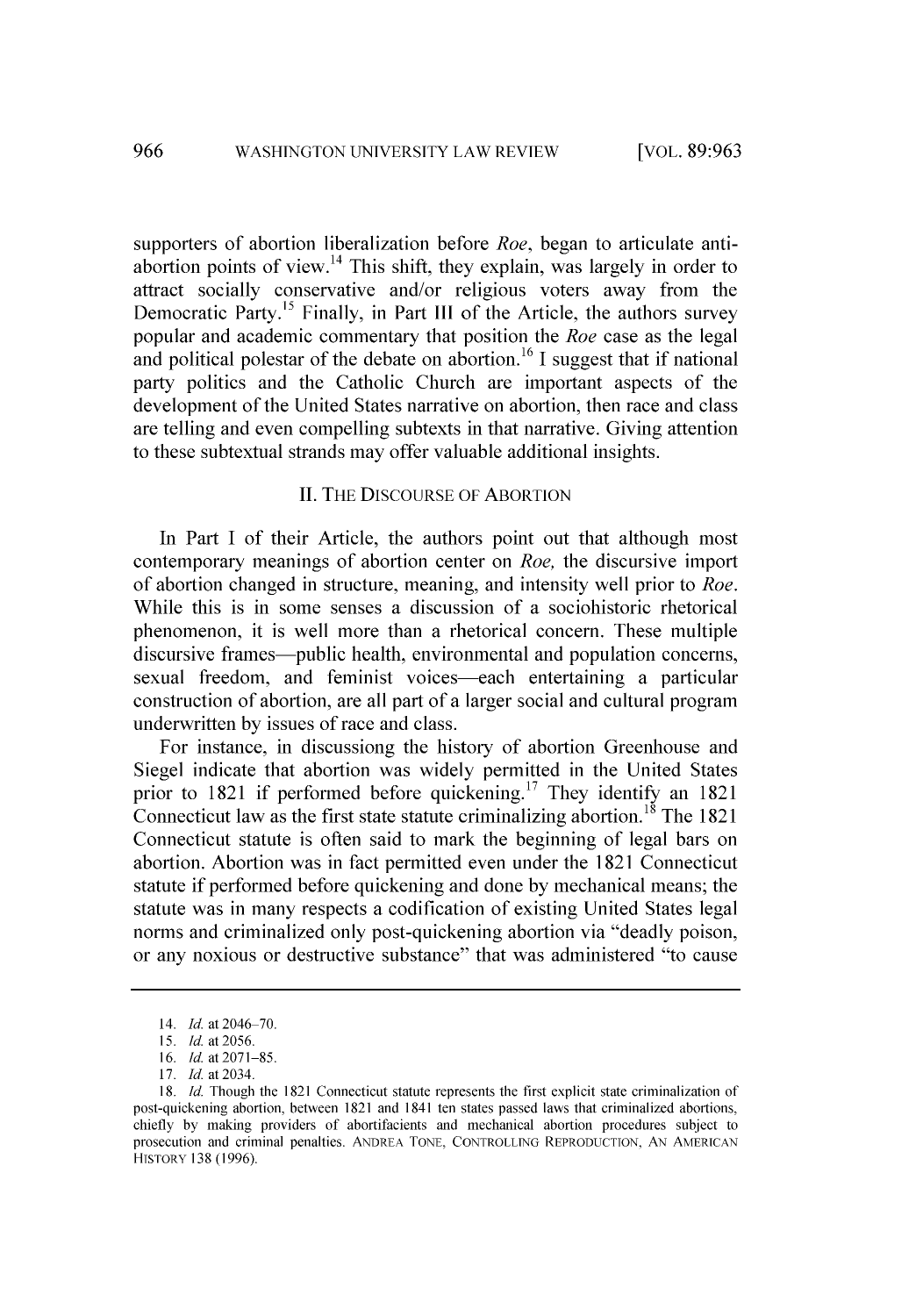supporters of abortion liberalization before *Roe,* began to articulate antiabortion points **of** view. 14 This shift, they explain, was largely in order to attract socially conservative and/or religious voters away from the Democratic Party.<sup>15</sup> Finally, in Part III of the Article, the authors survey popular and academic commentary that position the *Roe* case as the legal and political polestar of the debate on abortion. **<sup>16</sup>**I suggest that if national party politics and the Catholic Church are important aspects of the development of the United States narrative on abortion, then race and class are telling and even compelling subtexts in that narrative. Giving attention to these subtextual strands may offer valuable additional insights.

### **II.** THE DISCOURSE OF ABORTION

In Part **I** of their Article, the authors point out that although most contemporary meanings of abortion center on *Roe,* the discursive import of abortion changed in structure, meaning, and intensity well prior to *Roe.* While this is in some senses a discussion of a sociohistoric rhetorical phenomenon, it is well more than a rhetorical concern. These multiple discursive frames—public health, environmental and population concerns, sexual freedom, and feminist voices—each entertaining a particular construction of abortion, are all part of a larger social and cultural program underwritten **by** issues of race and class.

For instance, in discussiong the history of abortion Greenhouse and Siegel indicate that abortion was widely permitted in the United States prior to **1821** if performed before quickening.17 They identify an **1821** Connecticut law as the first state statute criminalizing abortion.18 The **1821** Connecticut statute is often said to mark the beginning of legal bars on abortion. Abortion was in fact permitted even under the **1821** Connecticut statute if performed before quickening and done **by** mechanical means; the statute was in many respects a codification of existing United States legal norms and criminalized only post-quickening abortion via "deadly poison, or any noxious or destructive substance" that was administered "to cause

<sup>14.</sup> *Id.* at 2046-70.

*<sup>15.</sup> Id.* at **2056.**

**<sup>16.</sup>** *Id.* at **2071-85.**

**<sup>17.</sup>** *Id.* at 2034.

**<sup>18.</sup>** *Id.* Though the **1821** Connecticut statute represents the first explicit state criminalization of post-quickening abortion, between **1821** and 1841 ten states passed laws that criminalized abortions, chiefly **by** making providers **of** abortifacients and mechanical abortion procedures subject to prosecution and criminal penalties. **ANDREA** TONE, CONTROLLING REPRODUCTION, **AN AMERICAN** HISTORY **138 (1996).**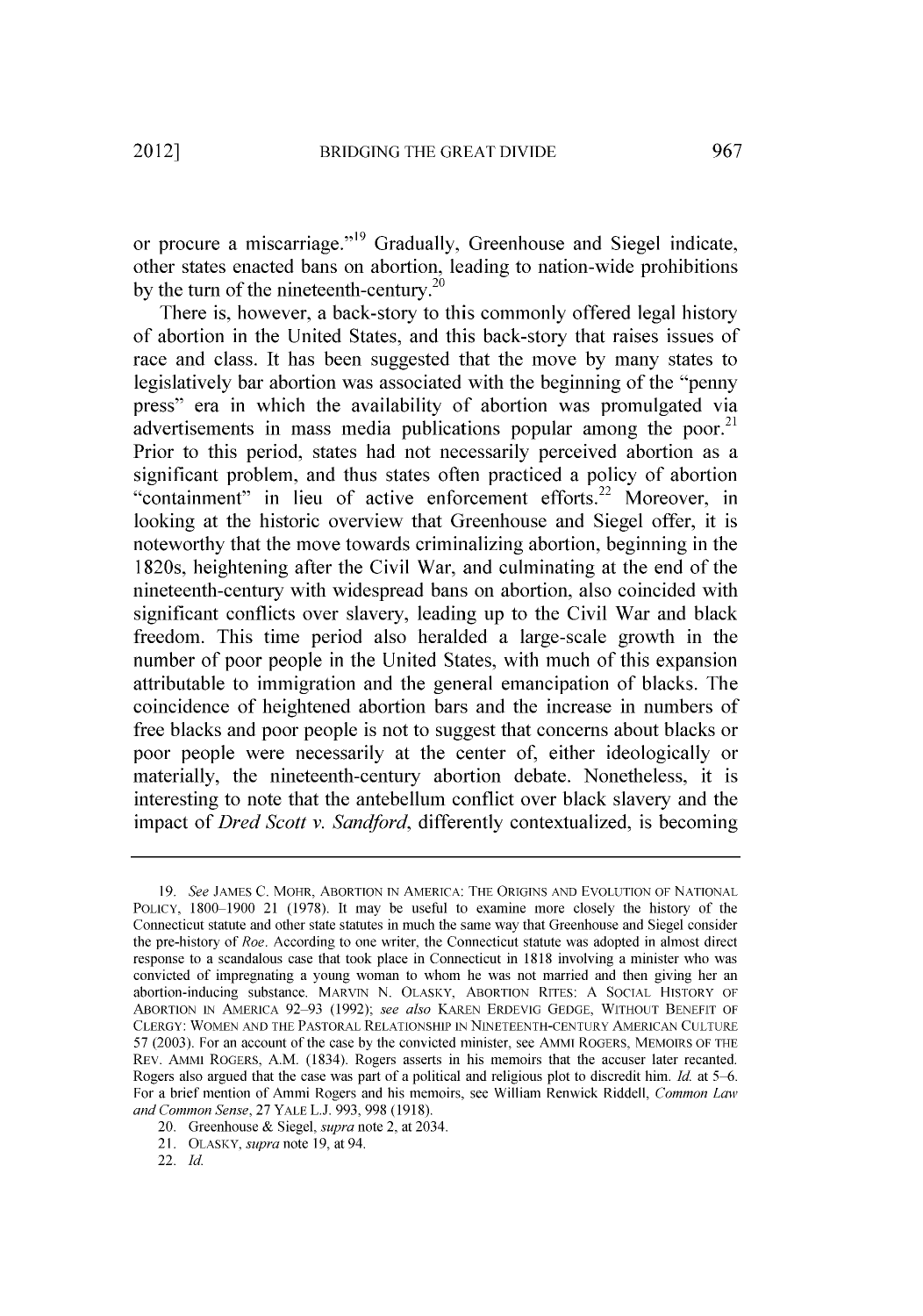or procure a miscarriage."<sup>19</sup> Gradually, Greenhouse and Siegel indicate, other states enacted bans on abortion, leading to nation-wide prohibitions by the turn of the nineteenth-century.<sup>20</sup>

There is, however, a back-story to this commonly offered legal history of abortion in the United States, and this back-story that raises issues of race and class. It has been suggested that the move **by** many states to legislatively bar abortion was associated with the beginning of the "penny press" era in which the availability of abortion was promulgated via advertisements in mass media publications popular among the poor.<sup>21</sup> Prior to this period, states had not necessarily perceived abortion as a significant problem, and thus states often practiced a policy of abortion "containment" in lieu of active enforcement efforts.<sup>22</sup> Moreover, in looking at the historic overview that Greenhouse and Siegel offer, it is noteworthy that the move towards criminalizing abortion, beginning in the 1820s, heightening after the Civil War, and culminating at the end of the nineteenth-century with widespread bans on abortion, also coincided with significant conflicts over slavery, leading up to the Civil War and black freedom. This time period also heralded a large-scale growth in the number of poor people in the United States, with much of this expansion attributable to immigration and the general emancipation of blacks. The coincidence of heightened abortion bars and the increase in numbers of free blacks and poor people is not to suggest that concerns about blacks or poor people were necessarily at the center of, either ideologically or materially, the nineteenth-century abortion debate. Nonetheless, it is interesting to note that the antebellum conflict over black slavery and the impact of *Dred Scott v. Sandford,* differently contextualized, is becoming

*<sup>19.</sup> See* **JAMES C.** MOHR, ABORTION IN AMERICA: THE **ORIGINS AND EVOLUTION** OF **NATIONAL** POLICY, **1800-1900** 21 **(1978).** It may be useful to examine more closely the history of the Connecticut statute and other state statutes in much the same way that Greenhouse and Siegel consider the pre-history of *Roe.* According to one writer, the Connecticut statute was adopted in almost direct response to a scandalous case that took place in Connecticut in **1818** involving a minister who was convicted of impregnating a young woman to whom he was not married and then giving her an abortion-inducing substance. MARVIN **N.** OLASKY, ABORTION RITES: **A SOCIAL** HISTORY OF ABORTION **IN** AMERICA **92 93 (1992);** *see also* KAREN ERDEVIG **GEDGE,** WITHOUT **BENEFIT** OF CLERGY: WOMEN **AND** THE **PASTORAL** RELATIONSHIP **IN NINETEENTH-CENTURY AMERICAN CULTURE 57 (2003).** For an account of the case **by** the convicted minister, see AMMI ROGERS, MEMOIRS OF THE REV. AMMI ROGERS, A.M. (1834). Rogers asserts in his memoirs that the accuser later recanted. Rogers also argued that the case was part of a political and religious plot to discredit him. *Id.* at *5-6.* For a brief mention of Ammi Rogers and his memoirs, see William Renwick Riddell, *Common Law and Common Sense,* **27** YALE **L.J. 993, 998 (1918).**

<sup>20.</sup> Greenhouse **&** *Siegel, supra* note 2, at 2034.

**<sup>21.</sup>** OLASKY, *supra* note **19,** at 94.

<sup>22.</sup> *Id.*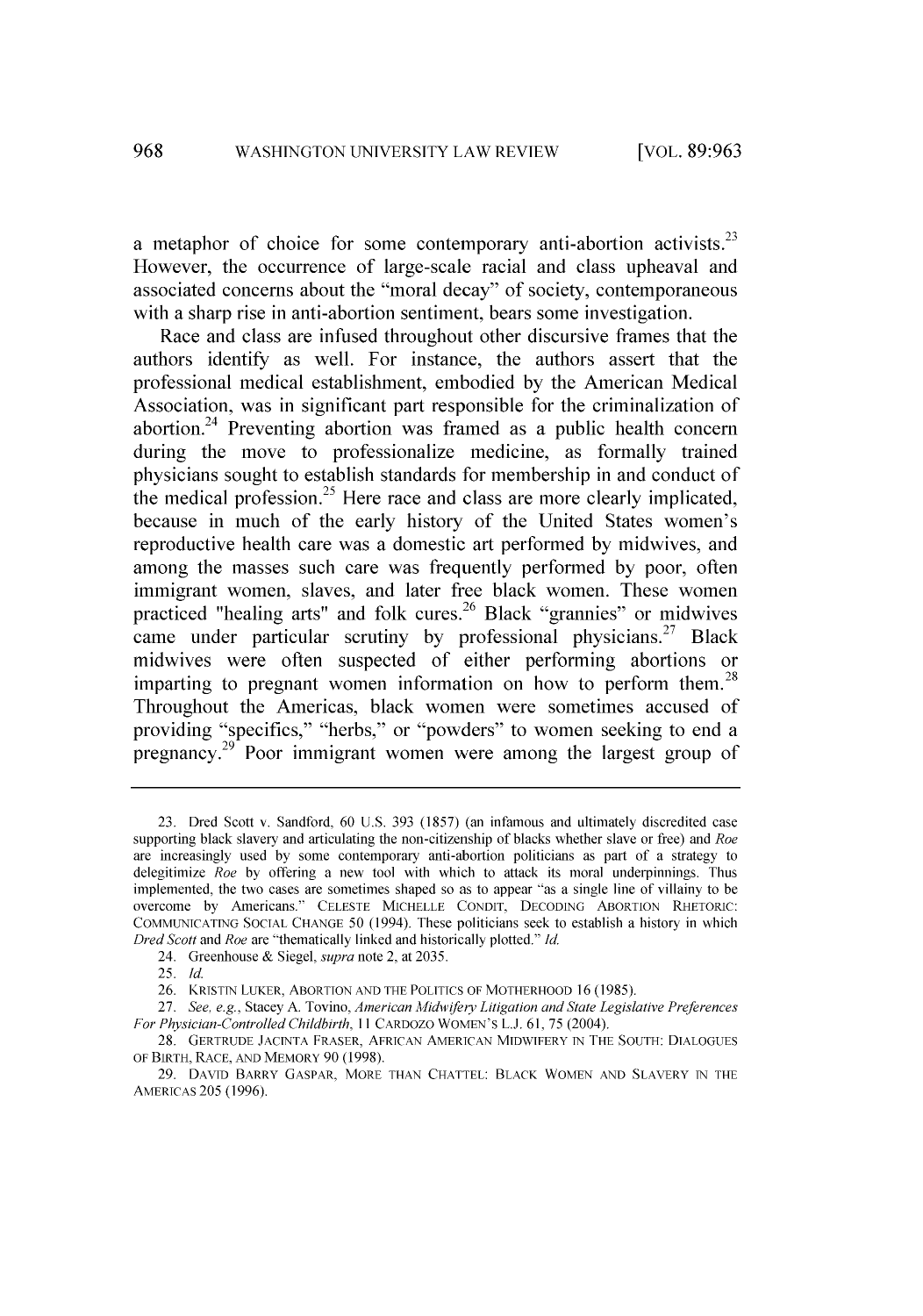a metaphor of choice for some contemporary anti-abortion activists.<sup>23</sup> However, the occurrence of large-scale racial and class upheaval and associated concerns about the "moral decay" of society, contemporaneous with a sharp rise in anti-abortion sentiment, bears some investigation.

Race and class are infused throughout other discursive frames that the authors identify as well. For instance, the authors assert that the professional medical establishment, embodied **by** the American Medical Association, was in significant part responsible for the criminalization of abortion.<sup>24</sup> Preventing abortion was framed as a public health concern during the move to **professionalize** medicine, as formally trained physicians sought to establish standards for membership in and conduct of the medical profession.<sup>25</sup> Here race and class are more clearly implicated, because in much of the early history of the United States women's reproductive health care was a domestic art performed **by** midwives, and among the masses such care was frequently performed **by** poor, often immigrant women, slaves, and later free black women. These women practiced "healing arts" and folk cures.<sup>26</sup> Black "grannies" or midwives came under particular scrutiny by professional physicians.<sup>27</sup> Black midwives were often suspected of either performing abortions or imparting to pregnant women information on how to perform them.<sup>28</sup> Throughout the Americas, black women were sometimes accused of providing "specifics," "herbs," or "powders" to women seeking to end a pregnancy.<sup>29</sup> Poor immigrant women were among the largest group of

24. Greenhouse **&** *Siegel, supra* note 2, at **2035.**

**<sup>23.</sup>** Dred Scott v. Sandford, **60 U.S. 393 (1857)** (an infamous and ultimately discredited case supporting black slavery and articulating the non-citizenship of blacks whether slave or free) and *Roe* are increasingly used **by** some contemporary anti-abortion politicians as part of a strategy to delegitimize *Roe* **by** offering a new tool with which to attack its moral underpinnings. Thus implemented, the two cases are sometimes shaped so as to appear "as a single line of villainy to be overcome **by** Americans." **CELESTE MICHELLE CONDIT, DECODING** ABORTION RHETORIC: **COMMUNICATING SOCIAL CHANGE 50** (1994). These politicians seek to establish a history in which *Dred Scott and Roe* are "thematically linked and historically plotted." *Id.*

*<sup>25.</sup> Id.*

**<sup>26.</sup>** KRISTIN LUKER, ABORTION **AND** THE **POLITICS** OF MOTHERHOOD **16 (1985).**

*<sup>27.</sup> See, e.g.,* Stacey **A.** Tovino, *American Midif/ery Litigation and State Legislative Preferences For Physician-Controlled* Childbirth, *II* CARDOZO WOMEN'S **L.J. 61, 75** (2004).

**<sup>28.</sup>** GERTRUDE **JACINTA** FRASER, AFRICAN **AMERICAN** MIDWIFERY IN THE **SOUTH: DIALOGUES** OF BIRTH, RACE, **AND** MEMORY **90 (1998).**

**<sup>29.</sup> DAVID** BARRY GASPAR, MORE **THAN CHATTEL:** BLACK WOMEN **AND** SLAVERY IN THE AMERICAS **205 (1996).**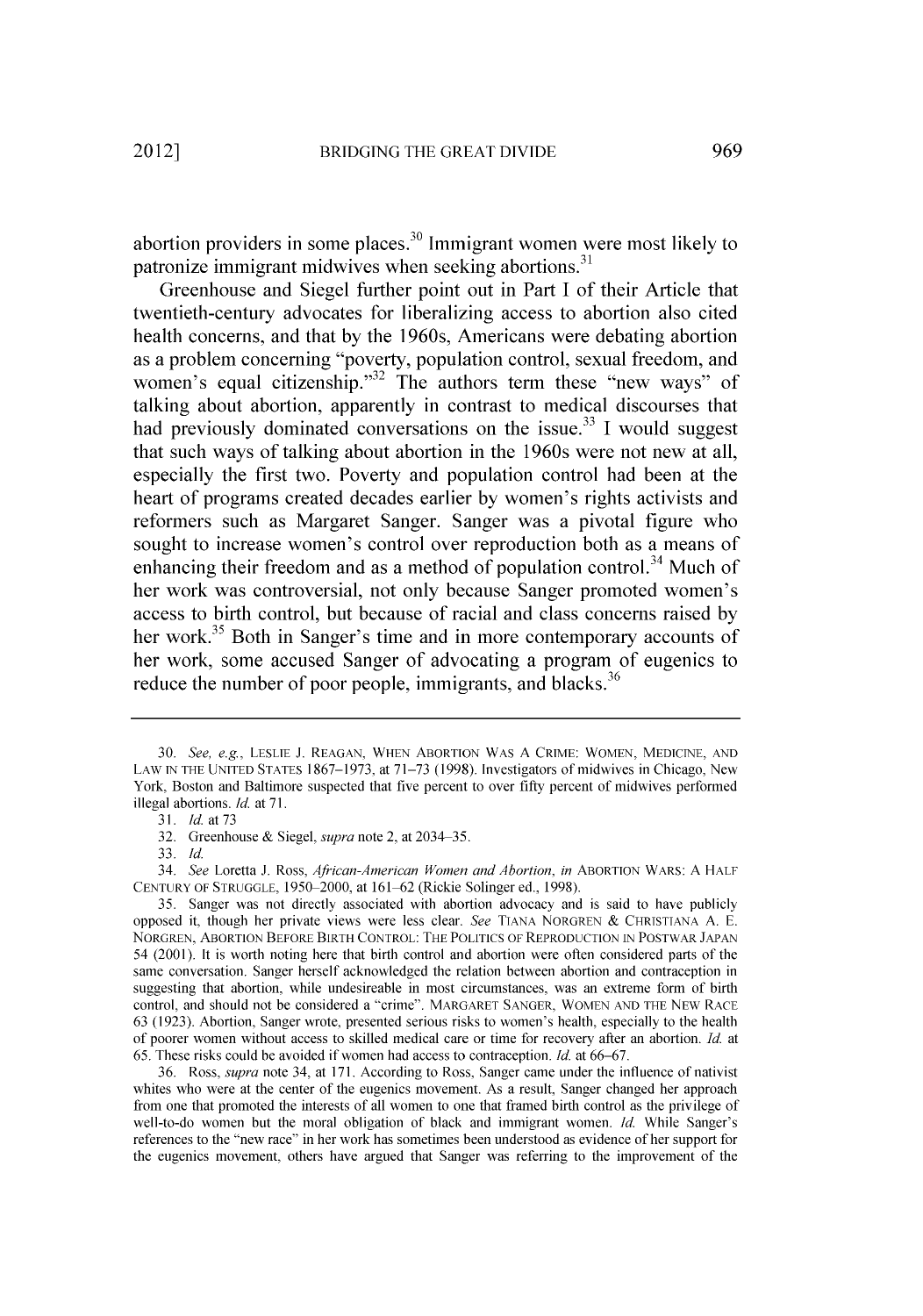abortion providers in some places.30 Immigrant women were most likely to patronize immigrant midwives when seeking abortions.<sup>31</sup>

Greenhouse and Siegel further point out in Part **I** of their Article that twentieth-century advocates for liberalizing access to abortion also cited health concerns, and that **by** the 1960s, Americans were debating abortion as a problem concerning "poverty, population control, sexual freedom, and women's equal citizenship.<sup>32</sup> The authors term these "new ways" of talking about abortion, apparently in contrast to medical discourses that had previously dominated conversations on the issue.<sup>33</sup> I would suggest that such ways of talking about abortion in the 1960s were not new at all, especially the first two. Poverty and population control had been at the heart of programs created decades earlier **by** women's rights activists and reformers such as Margaret Sanger. Sanger was a pivotal figure who sought to increase women's control over reproduction both as a means of enhancing their freedom and as a method of population control.<sup>34</sup> Much of her work was controversial, not only because Sanger promoted women's access to birth control, but because of racial and class concerns raised **by** her work.<sup>35</sup> Both in Sanger's time and in more contemporary accounts of her work, some accused Sanger of advocating a program of eugenics to reduce the number of poor people, immigrants, and blacks.<sup>36</sup>

*<sup>30.</sup> See,* e.g, **LESLIE J. REAGAN, WHEN** ABORTION WAS **A** CRIME: WOMEN, MEDICINE, **AND** LAW **IN** THE **UNITED STATES 1867-1973,** at **71-73 (1998).** Investigators of midwives in Chicago, New York, Boston and Baltimore suspected that five percent to over **fifty** percent of midwives performed illegal abortions. *Id.* at **71.**

*<sup>31.</sup> Id. at 73*

**<sup>32.</sup>** Greenhouse **&** *Siegel, supra* note 2, at 2034-35.

*<sup>33.</sup> Id.*

*<sup>34.</sup> See* Loretta **J.** Ross, *African-American Women and Abortion, in* ABORTION WARS: **A** HALF **CENTURY** OF **STRUGGLE, 1950-2000,** at **161-62** (Rickie Solinger ed., **1998).**

*<sup>35.</sup>* Sanger was not directly associated with abortion advocacy and is said to have publicly opposed it, though her private views were less clear. *See* **TIANA** NORGREN **& CHRISTIANA A. E.** NORGREN, ABORTION BEFORE BIRTH CONTROL: THE **POLITICS** OF REPRODUCTION **IN** POSTWAR **JAPAN** 54 **(2001).** It is worth noting here that birth control and abortion were often considered parts of the same conversation. Sanger herself acknowledged the relation between abortion and contraception in suggesting that abortion, while undesireable in most circumstances, was an extreme form of birth control, and should not be considered a "crime". MARGARET **SANGER,** WOMEN **AND** THE NEW RACE **63 (1923).** Abortion, Sanger wrote, presented serious risks to women's health, especially to the health of poorer women without access to skilled medical care or time for recovery after an abortion. *Id.* at **65.** These risks could be avoided if women had access to contraception. *Id.* at **66-67.**

**<sup>36.</sup>** Ross, *supra* note 34, at **171.** According to Ross, Sanger came under the influence of nativist whites who were at the center of the eugenics movement. As a result, Sanger changed her approach from one that promoted the interests of all women to one that framed birth control as the privilege of well-to-do women but the moral obligation of black and immigrant women. *Id.* While Sanger's references to the "new race" in her work has sometimes been understood as evidence of her support for the eugenics movement, others have argued that Sanger was referring to the improvement of the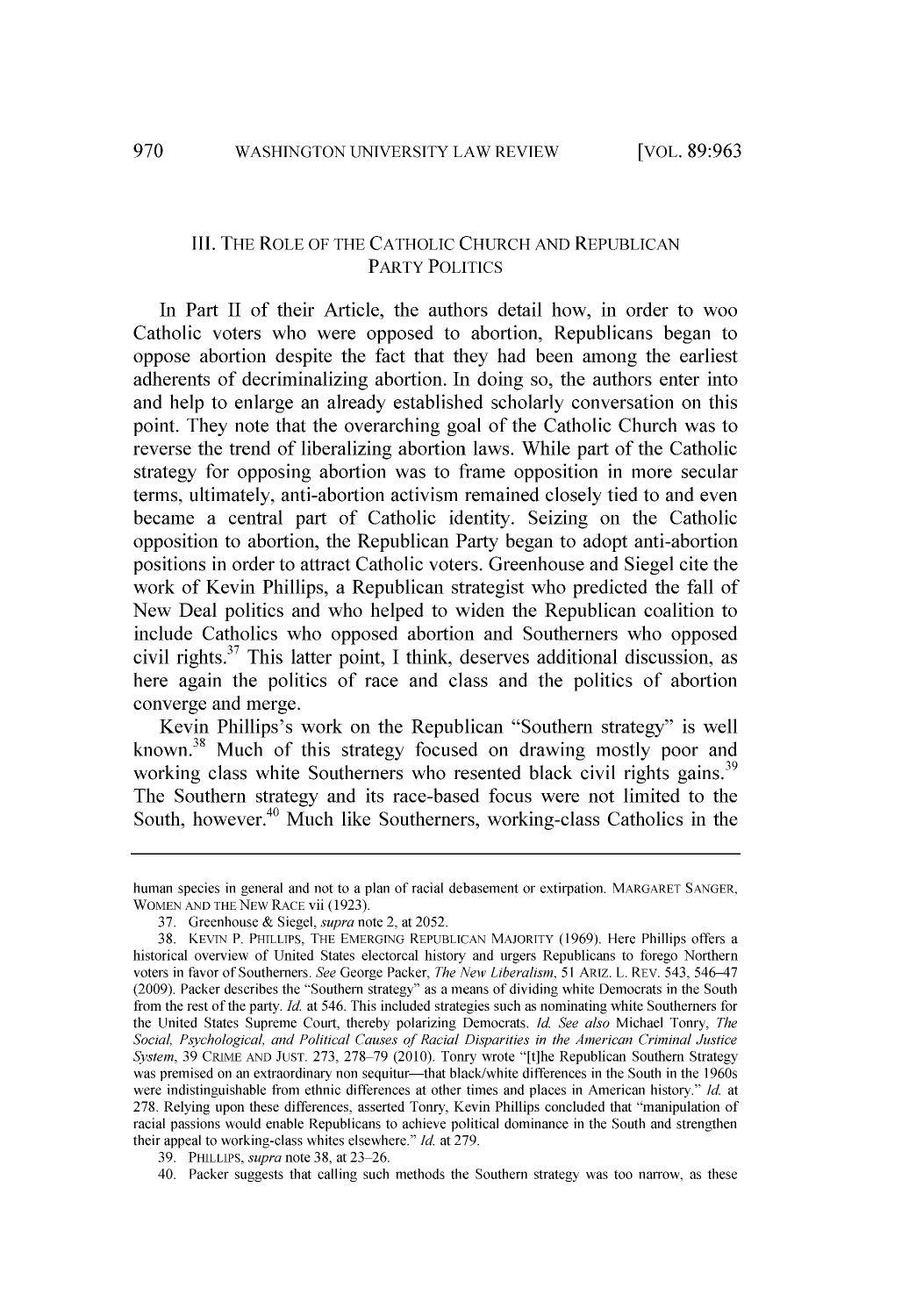## III. THE ROLE OF THE **CATHOLIC** CHURCH **AND** REPUBLICAN PARTY **POLITICS**

In Part II of their Article, the authors detail how, in order to woo Catholic voters who were opposed to abortion, Republicans began to oppose abortion despite the fact that they had been among the earliest adherents of decriminalizing abortion. In doing so, the authors enter into and help to enlarge an already established scholarly conversation on this point. They note that the overarching goal of the Catholic Church was to reverse the trend of liberalizing abortion laws. While part of the Catholic strategy for opposing abortion was to frame opposition in more secular terms, ultimately, anti-abortion activism remained closely tied to and even became a central part of Catholic identity. Seizing on the Catholic opposition to abortion, the Republican Party began to adopt anti-abortion positions in order to attract Catholic voters. Greenhouse and Siegel cite the work of Kevin Phillips, a Republican strategist who predicted the fall of New Deal politics and who helped to widen the Republican coalition to include Catholics who opposed abortion and Southerners who opposed civil rights. 7 This latter point, **I** think, deserves additional discussion, as here again the politics of race and class and the politics of abortion converge and merge.

Kevin Phillips's work on the Republican "Southern strategy" is well known.<sup>38</sup> Much of this strategy focused on drawing mostly poor and working class white Southerners who resented black civil rights gains.<sup>39</sup> The Southern strategy and its race-based focus were not limited to the South, however.<sup>40</sup> Much like Southerners, working-class Catholics in the

human species in general and not to a plan of racial debasement or extirpation. MARGARET **SANGER,** WOMEN **AND** THE NEw RACE vii **(1923).**

**<sup>37.</sup>** Greenhouse **&** *Siegel, supra* note 2, at **2052.**

**<sup>38.</sup> KEVIN** P. PHILLIPS, THE EMERGING **REPUBLICAN** MAJORITY **(1969).** Here Phillips offers a historical overview of United States electorcal history and urgers Republicans to forego Northern voters in favor of Southerners. *See* George Packer, *The New* Liberalism, *51* ARIZ. L. REV. 543, 546-47 **(2009).** Packer describes the "Southern strategy" as a means of dividing white Democrats in the South from the rest of the party. *Id.* at *546.* This included strategies such as nominating white Southerners for the United States Supreme Court, thereby polarizing Democrats. *Id. See also* Michael Tonry, *The Social, Psychological, and Political Causes of Racial Disparities in the American Criminal Justice System,* **39** CRIME **AND JUST. 273, 278-79** (2010). Tonry wrote "[t]he Republican Southern Strategy was premised on an extraordinary non sequitur-that black/white differences in the South in the 1960s were indistinguishable from ethnic differences at other times and places in American history." *Id.* at **278.** Relying upon these differences, asserted Tonry, Kevin Phillips concluded that "manipulation of racial passions would enable Republicans to achieve political dominance in the South and strengthen their appeal to working-class whites elsewhere." *Id.* at **279.**

**<sup>39.</sup>** PHILLIPS, *supra* note **38,** at **23 26.**

<sup>40.</sup> Packer suggests that calling such methods the Southern strategy was too narrow, as these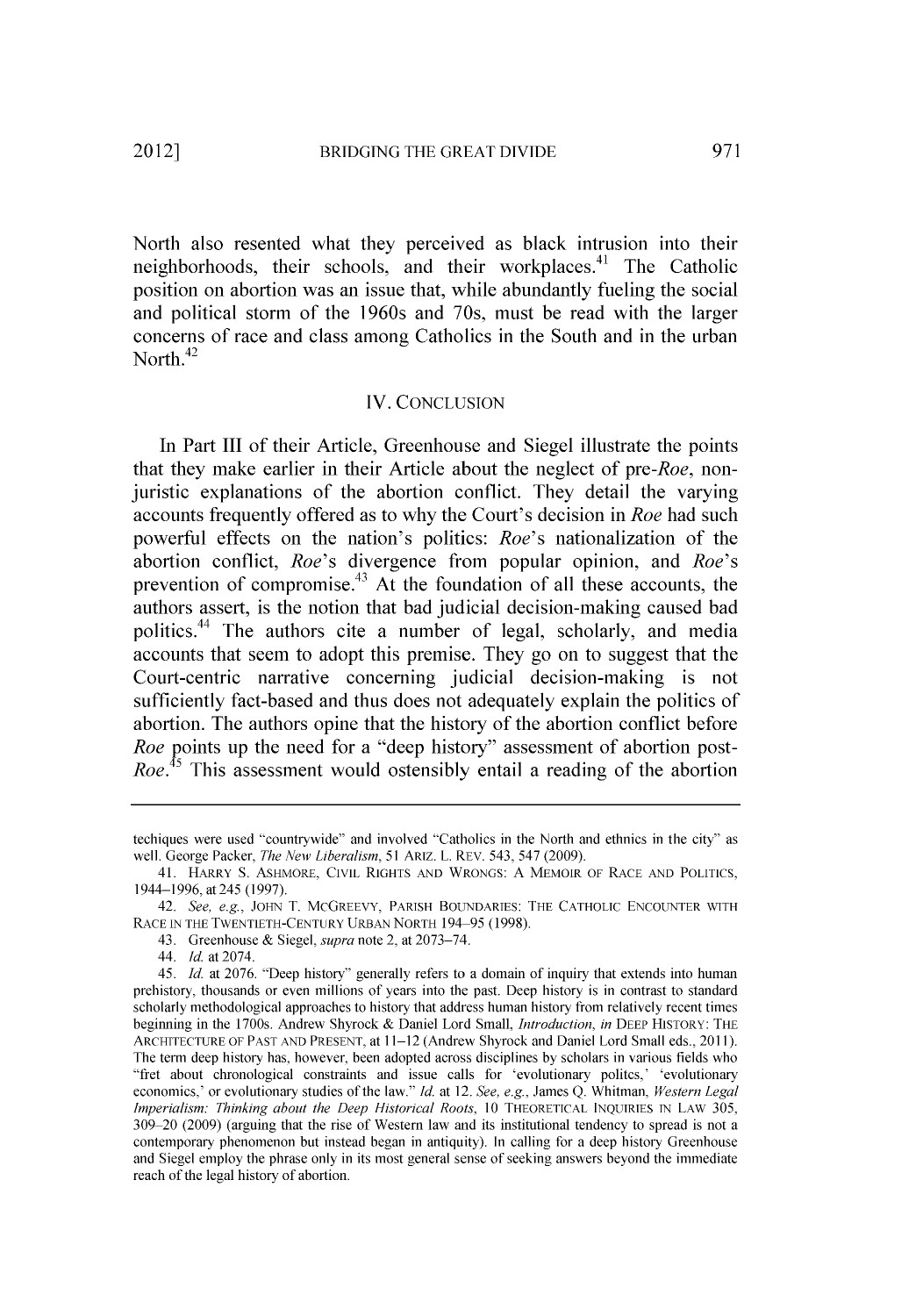North also resented what they perceived as black intrusion into their neighborhoods, their schools, and their workplaces.<sup>41</sup> The Catholic position on abortion was an issue that, while abundantly fueling the social and political storm of the 1960s and 70s, must be read with the larger concerns of race and class among Catholics in the South and in the urban North. $42$ 

## IV. **CONCLUSION**

In Part **III** of their Article, Greenhouse and Siegel illustrate the points that they make earlier in their Article about the neglect of *pre-Roe,* nonjuristic explanations of the abortion conflict. They detail the varying accounts frequently offered as to why the Court's decision in *Roe* had such powerful effects on the nation's politics: *Roe's* nationalization of the abortion conflict, *Roe's* divergence from popular opinion, and *Roe's* prevention of compromise.<sup>43</sup> At the foundation of all these accounts, the authors assert, is the notion that bad judicial decision-making caused bad politics.<sup>44</sup> The authors cite a number of legal, scholarly, and media accounts that seem to adopt this premise. They go on to suggest that the Court-centric narrative concerning judicial decision-making is not sufficiently fact-based and thus does not adequately explain the politics of abortion. The authors opine that the history of the abortion conflict before *Roe* points up the need for a "deep history" assessment of abortion post-*Roe.*<sup>45</sup> This assessment would ostensibly entail a reading of the abortion

techiques were used "countrywide" and involved "Catholics in the North and ethnics in the city" as well. George Packer, *The New Liberalism, 51* ARIZ. L. REV. 543, 547 **(2009).**

<sup>41.</sup> HARRY **S.** ASHMORE, CIVIL RIGHTS **AND** WRONGS: **A** MEMOIR OF RACE **AND POLITICS,** 1944-1996, at 245 **(1997).**

*<sup>42.</sup> See, e.g.,* **JOHN** T. McGREEVY, PARISH **BOUNDARIES:** THE CATHOLIC **ENCOUNTER** WITH RACE **IN** THE **TWENTIETH-CENTURY URBAN** NORTH 194-95 **(1998).**

<sup>43.</sup> Greenhouse **&** *Siegel, supra* note 2, at **2073-74.**

<sup>44.</sup> *Id.* at 2074.

*<sup>45.</sup> Id.* at **2076.** "Deep history" generally refers to a domain of inquiry that extends into human prehistory, thousands or even millions of years into the past. Deep history is in contrast to standard scholarly methodological approaches to history that address human history from relatively recent times beginning in the 1700s. Andrew Shyrock **&** Daniel Lord Small, *Introduction, in* **DEEP** HISTORY: THE ARCHITECTURE OF **PAST AND PRESENT,** at **11-12** (Andrew Shyrock and Daniel Lord Small eds., **2011).** The term deep history has, however, been adopted across disciplines **by** scholars in various fields who "fret about chronological constraints and issue calls for 'evolutionary politcs,' 'evolutionary economics,' or evolutionary studies of the law." *Id.* at 12. *See, e.g.,* James **Q.** Whitman, *Western Legal Imperialism: Thinking about the Deep Historical Roots,* **10** THEORETICAL **INQUIRIES** IN LAW **305, 309** 20 **(2009)** (arguing that the rise **of** Western law and **its** institutional tendency **to** spread **is** not a contemporary phenomenon but instead began in antiquity). In calling for a deep history Greenhouse and Siegel employ the phrase only in its most general sense of seeking answers beyond the immediate reach of the legal history of abortion.